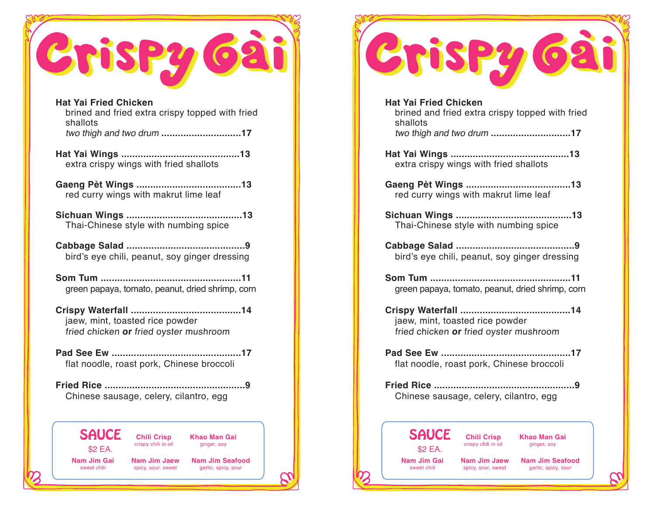